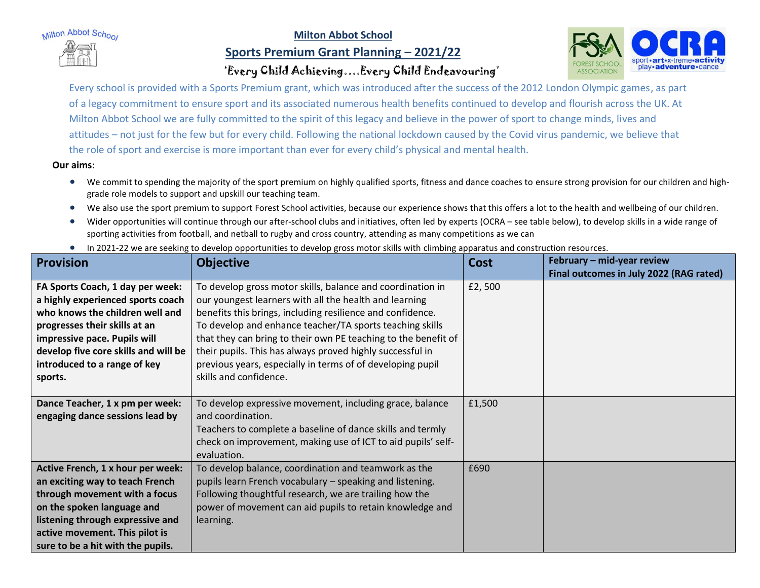Milton Abbot School

## **Milton Abbot School**

## **Sports Premium Grant Planning – 2021/22**



## 'Every Child Achieving….Every Child Endeavouring'

Every school is provided with a Sports Premium grant, which was introduced after the success of the 2012 London Olympic games, as part of a legacy commitment to ensure sport and its associated numerous health benefits continued to develop and flourish across the UK. At Milton Abbot School we are fully committed to the spirit of this legacy and believe in the power of sport to change minds, lives and attitudes – not just for the few but for every child. Following the national lockdown caused by the Covid virus pandemic, we believe that the role of sport and exercise is more important than ever for every child's physical and mental health.

**Our aims**:

- We commit to spending the majority of the sport premium on highly qualified sports, fitness and dance coaches to ensure strong provision for our children and highgrade role models to support and upskill our teaching team.
- We also use the sport premium to support Forest School activities, because our experience shows that this offers a lot to the health and wellbeing of our children.
- Wider opportunities will continue through our after-school clubs and initiatives, often led by experts (OCRA see table below), to develop skills in a wide range of sporting activities from football, and netball to rugby and cross country, attending as many competitions as we can
- In 2021-22 we are seeking to develop opportunities to develop gross motor skills with climbing apparatus and construction resources.

| <b>Provision</b>                     | <b>Objective</b>                                               | <b>Cost</b> | February - mid-year review              |
|--------------------------------------|----------------------------------------------------------------|-------------|-----------------------------------------|
|                                      |                                                                |             | Final outcomes in July 2022 (RAG rated) |
| FA Sports Coach, 1 day per week:     | To develop gross motor skills, balance and coordination in     | £2,500      |                                         |
| a highly experienced sports coach    | our youngest learners with all the health and learning         |             |                                         |
| who knows the children well and      | benefits this brings, including resilience and confidence.     |             |                                         |
| progresses their skills at an        | To develop and enhance teacher/TA sports teaching skills       |             |                                         |
| impressive pace. Pupils will         | that they can bring to their own PE teaching to the benefit of |             |                                         |
| develop five core skills and will be | their pupils. This has always proved highly successful in      |             |                                         |
| introduced to a range of key         | previous years, especially in terms of of developing pupil     |             |                                         |
| sports.                              | skills and confidence.                                         |             |                                         |
|                                      |                                                                |             |                                         |
| Dance Teacher, 1 x pm per week:      | To develop expressive movement, including grace, balance       | £1,500      |                                         |
| engaging dance sessions lead by      | and coordination.                                              |             |                                         |
|                                      | Teachers to complete a baseline of dance skills and termly     |             |                                         |
|                                      | check on improvement, making use of ICT to aid pupils' self-   |             |                                         |
|                                      | evaluation.                                                    |             |                                         |
| Active French, 1 x hour per week:    | To develop balance, coordination and teamwork as the           | £690        |                                         |
| an exciting way to teach French      | pupils learn French vocabulary - speaking and listening.       |             |                                         |
| through movement with a focus        | Following thoughtful research, we are trailing how the         |             |                                         |
| on the spoken language and           | power of movement can aid pupils to retain knowledge and       |             |                                         |
| listening through expressive and     | learning.                                                      |             |                                         |
| active movement. This pilot is       |                                                                |             |                                         |
| sure to be a hit with the pupils.    |                                                                |             |                                         |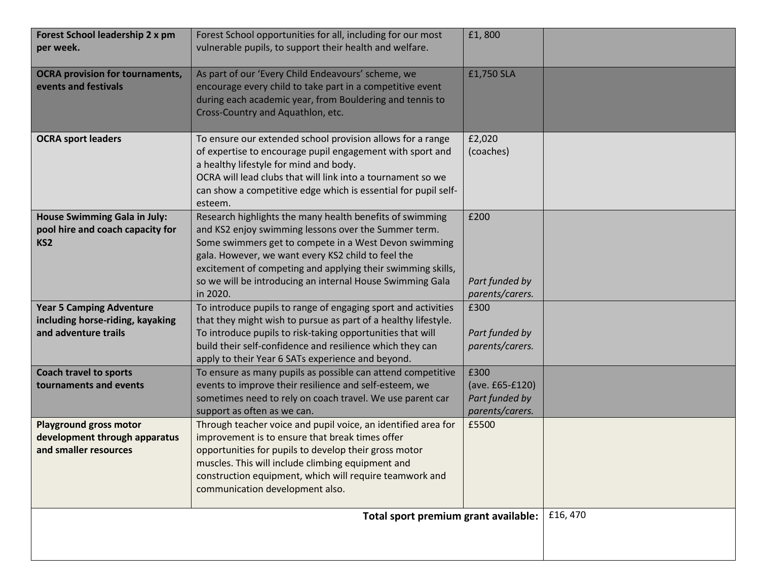| Forest School leadership 2 x pm<br>per week.                                                | Forest School opportunities for all, including for our most<br>vulnerable pupils, to support their health and welfare.                                                                                                                                                                                                                                                  | £1,800                                                       |         |
|---------------------------------------------------------------------------------------------|-------------------------------------------------------------------------------------------------------------------------------------------------------------------------------------------------------------------------------------------------------------------------------------------------------------------------------------------------------------------------|--------------------------------------------------------------|---------|
| <b>OCRA provision for tournaments,</b><br>events and festivals                              | As part of our 'Every Child Endeavours' scheme, we<br>encourage every child to take part in a competitive event<br>during each academic year, from Bouldering and tennis to<br>Cross-Country and Aquathlon, etc.                                                                                                                                                        | £1,750 SLA                                                   |         |
| <b>OCRA sport leaders</b>                                                                   | To ensure our extended school provision allows for a range<br>of expertise to encourage pupil engagement with sport and<br>a healthy lifestyle for mind and body.<br>OCRA will lead clubs that will link into a tournament so we<br>can show a competitive edge which is essential for pupil self-<br>esteem.                                                           | £2,020<br>(coaches)                                          |         |
| House Swimming Gala in July:<br>pool hire and coach capacity for<br>KS <sub>2</sub>         | Research highlights the many health benefits of swimming<br>and KS2 enjoy swimming lessons over the Summer term.<br>Some swimmers get to compete in a West Devon swimming<br>gala. However, we want every KS2 child to feel the<br>excitement of competing and applying their swimming skills,<br>so we will be introducing an internal House Swimming Gala<br>in 2020. | £200<br>Part funded by<br>parents/carers.                    |         |
| <b>Year 5 Camping Adventure</b><br>including horse-riding, kayaking<br>and adventure trails | To introduce pupils to range of engaging sport and activities<br>that they might wish to pursue as part of a healthy lifestyle.<br>To introduce pupils to risk-taking opportunities that will<br>build their self-confidence and resilience which they can<br>apply to their Year 6 SATs experience and beyond.                                                         | £300<br>Part funded by<br>parents/carers.                    |         |
| <b>Coach travel to sports</b><br>tournaments and events                                     | To ensure as many pupils as possible can attend competitive<br>events to improve their resilience and self-esteem, we<br>sometimes need to rely on coach travel. We use parent car<br>support as often as we can.                                                                                                                                                       | £300<br>(ave. £65-£120)<br>Part funded by<br>parents/carers. |         |
| <b>Playground gross motor</b><br>development through apparatus<br>and smaller resources     | Through teacher voice and pupil voice, an identified area for<br>improvement is to ensure that break times offer<br>opportunities for pupils to develop their gross motor<br>muscles. This will include climbing equipment and<br>construction equipment, which will require teamwork and<br>communication development also.                                            | £5500                                                        |         |
|                                                                                             | Total sport premium grant available:                                                                                                                                                                                                                                                                                                                                    |                                                              | £16,470 |